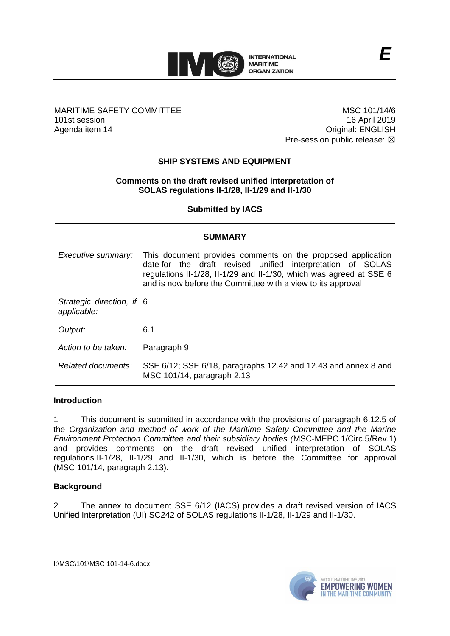

### MARITIME SAFETY COMMITTEE 101st session Agenda item 14

MSC 101/14/6 16 April 2019 Original: ENGLISH Pre-session public release:  $\boxtimes$ 

# **SHIP SYSTEMS AND EQUIPMENT**

## **Comments on the draft revised unified interpretation of SOLAS regulations II-1/28, II-1/29 and II-1/30**

**Submitted by IACS**

| <b>SUMMARY</b>                           |                                                                                                                                                                                                                                                                 |
|------------------------------------------|-----------------------------------------------------------------------------------------------------------------------------------------------------------------------------------------------------------------------------------------------------------------|
| Executive summary:                       | This document provides comments on the proposed application<br>date for the draft revised unified interpretation of SOLAS<br>regulations II-1/28, II-1/29 and II-1/30, which was agreed at SSE 6<br>and is now before the Committee with a view to its approval |
| Strategic direction, if 6<br>applicable: |                                                                                                                                                                                                                                                                 |
| Output:                                  | 6.1                                                                                                                                                                                                                                                             |
| Action to be taken:                      | Paragraph 9                                                                                                                                                                                                                                                     |
| Related documents:                       | SSE 6/12; SSE 6/18, paragraphs 12.42 and 12.43 and annex 8 and<br>MSC 101/14, paragraph 2.13                                                                                                                                                                    |

### **Introduction**

1 This document is submitted in accordance with the provisions of paragraph 6.12.5 of the *Organization and method of work of the Maritime Safety Committee and the Marine Environment Protection Committee and their subsidiary bodies (*MSC-MEPC.1/Circ.5/Rev.1) and provides comments on the draft revised unified interpretation of SOLAS regulations II-1/28, II-1/29 and II-1/30, which is before the Committee for approval (MSC 101/14, paragraph 2.13).

### **Background**

2 The annex to document SSE 6/12 (IACS) provides a draft revised version of IACS Unified Interpretation (UI) SC242 of SOLAS regulations II-1/28, II-1/29 and II-1/30.